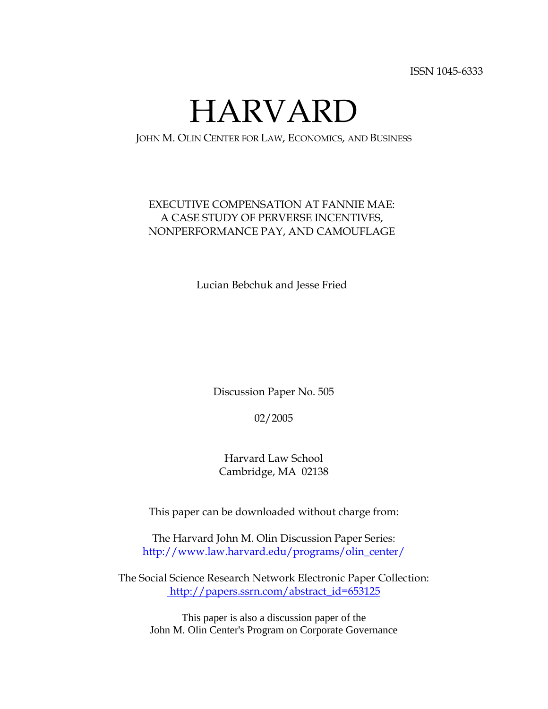ISSN 1045-6333

HARVARD

JOHN M. OLIN CENTER FOR LAW, ECONOMICS, AND BUSINESS

### EXECUTIVE COMPENSATION AT FANNIE MAE: A CASE STUDY OF PERVERSE INCENTIVES, NONPERFORMANCE PAY, AND CAMOUFLAGE

Lucian Bebchuk and Jesse Fried

Discussion Paper No. 505

02/2005

Harvard Law School Cambridge, MA 02138

This paper can be downloaded without charge from:

The Harvard John M. Olin Discussion Paper Series: http://www.law.harvard.edu/programs/olin\_center/

The Social Science Research Network Electronic Paper Collection: http://papers.ssrn.com/abstract\_id=653125

This paper is also a discussion paper of the John M. Olin Center's Program on Corporate Governance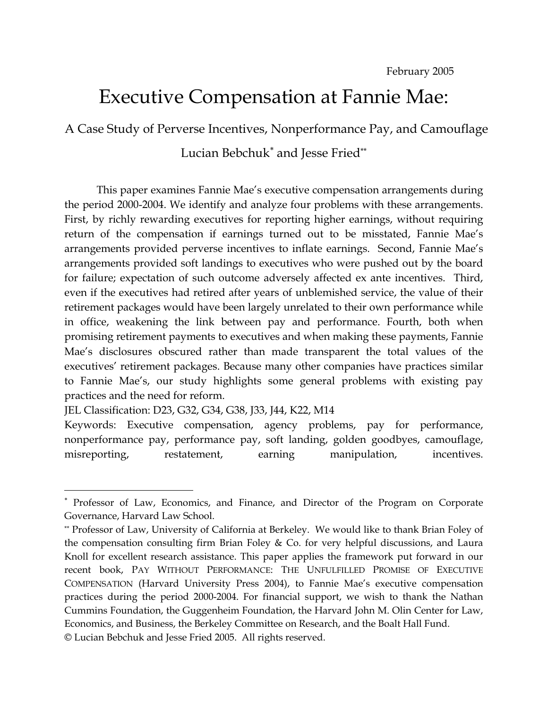# Executive Compensation at Fannie Mae:

A Case Study of Perverse Incentives, Nonperformance Pay, and Camouflage

Lucian Bebchuk<sup>\*</sup> and Jesse Fried<sup>\*\*</sup>

This paper examines Fannie Mae's executive compensation arrangements during the period 2000-2004. We identify and analyze four problems with these arrangements. First, by richly rewarding executives for reporting higher earnings, without requiring return of the compensation if earnings turned out to be misstated, Fannie Mae's arrangements provided perverse incentives to inflate earnings. Second, Fannie Mae's arrangements provided soft landings to executives who were pushed out by the board for failure; expectation of such outcome adversely affected ex ante incentives. Third, even if the executives had retired after years of unblemished service, the value of their retirement packages would have been largely unrelated to their own performance while in office, weakening the link between pay and performance. Fourth, both when promising retirement payments to executives and when making these payments, Fannie Mae's disclosures obscured rather than made transparent the total values of the executives' retirement packages. Because many other companies have practices similar to Fannie Mae's, our study highlights some general problems with existing pay practices and the need for reform.

JEL Classification: D23, G32, G34, G38, J33, J44, K22, M14

 $\overline{a}$ 

Keywords: Executive compensation, agency problems, pay for performance, nonperformance pay, performance pay, soft landing, golden goodbyes, camouflage, misreporting, restatement, earning manipulation, incentives.

<sup>∗</sup> Professor of Law, Economics, and Finance, and Director of the Program on Corporate Governance, Harvard Law School.

<sup>\*\*</sup> Professor of Law, University of California at Berkeley. We would like to thank Brian Foley of the compensation consulting firm Brian Foley  $\&$  Co. for very helpful discussions, and Laura Knoll for excellent research assistance. This paper applies the framework put forward in our recent book, PAY WITHOUT PERFORMANCE: THE UNFULFILLED PROMISE OF EXECUTIVE COMPENSATION (Harvard University Press 2004), to Fannie Mae's executive compensation practices during the period 2000-2004. For financial support, we wish to thank the Nathan Cummins Foundation, the Guggenheim Foundation, the Harvard John M. Olin Center for Law, Economics, and Business, the Berkeley Committee on Research, and the Boalt Hall Fund. © Lucian Bebchuk and Jesse Fried 2005. All rights reserved.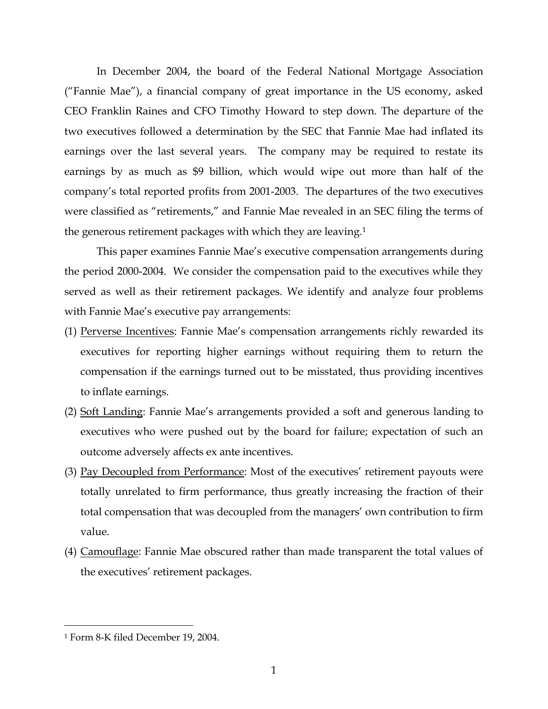In December 2004, the board of the Federal National Mortgage Association ("Fannie Mae"), a financial company of great importance in the US economy, asked CEO Franklin Raines and CFO Timothy Howard to step down. The departure of the two executives followed a determination by the SEC that Fannie Mae had inflated its earnings over the last several years. The company may be required to restate its earnings by as much as \$9 billion, which would wipe out more than half of the company's total reported profits from 2001-2003. The departures of the two executives were classified as "retirements," and Fannie Mae revealed in an SEC filing the terms of the generous retirement packages with which they are leaving.1

 This paper examines Fannie Mae's executive compensation arrangements during the period 2000-2004. We consider the compensation paid to the executives while they served as well as their retirement packages. We identify and analyze four problems with Fannie Mae's executive pay arrangements:

- (1) Perverse Incentives: Fannie Mae's compensation arrangements richly rewarded its executives for reporting higher earnings without requiring them to return the compensation if the earnings turned out to be misstated, thus providing incentives to inflate earnings.
- (2) Soft Landing: Fannie Mae's arrangements provided a soft and generous landing to executives who were pushed out by the board for failure; expectation of such an outcome adversely affects ex ante incentives.
- (3) Pay Decoupled from Performance: Most of the executives' retirement payouts were totally unrelated to firm performance, thus greatly increasing the fraction of their total compensation that was decoupled from the managers' own contribution to firm value.
- (4) Camouflage: Fannie Mae obscured rather than made transparent the total values of the executives' retirement packages.

<sup>1</sup> Form 8-K filed December 19, 2004.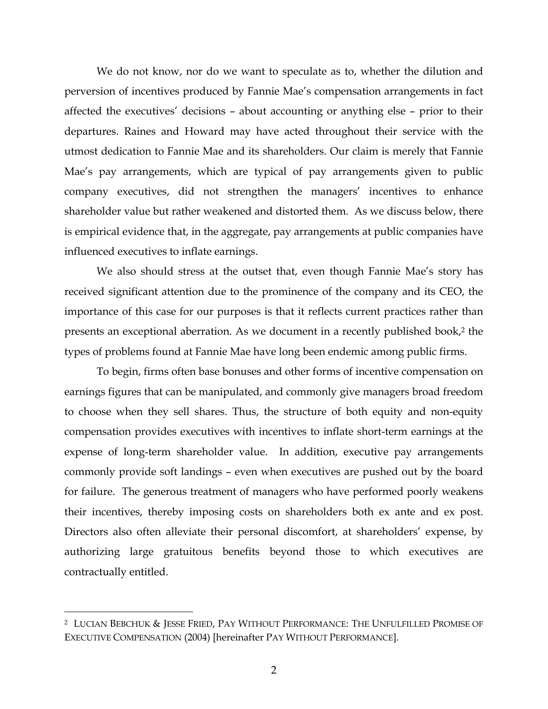We do not know, nor do we want to speculate as to, whether the dilution and perversion of incentives produced by Fannie Mae's compensation arrangements in fact affected the executives' decisions – about accounting or anything else – prior to their departures. Raines and Howard may have acted throughout their service with the utmost dedication to Fannie Mae and its shareholders. Our claim is merely that Fannie Mae's pay arrangements, which are typical of pay arrangements given to public company executives, did not strengthen the managers' incentives to enhance shareholder value but rather weakened and distorted them. As we discuss below, there is empirical evidence that, in the aggregate, pay arrangements at public companies have influenced executives to inflate earnings.

 We also should stress at the outset that, even though Fannie Mae's story has received significant attention due to the prominence of the company and its CEO, the importance of this case for our purposes is that it reflects current practices rather than presents an exceptional aberration. As we document in a recently published book,<sup>2</sup> the types of problems found at Fannie Mae have long been endemic among public firms.

To begin, firms often base bonuses and other forms of incentive compensation on earnings figures that can be manipulated, and commonly give managers broad freedom to choose when they sell shares. Thus, the structure of both equity and non-equity compensation provides executives with incentives to inflate short-term earnings at the expense of long-term shareholder value. In addition, executive pay arrangements commonly provide soft landings – even when executives are pushed out by the board for failure. The generous treatment of managers who have performed poorly weakens their incentives, thereby imposing costs on shareholders both ex ante and ex post. Directors also often alleviate their personal discomfort, at shareholders' expense, by authorizing large gratuitous benefits beyond those to which executives are contractually entitled.

-

<sup>2</sup> LUCIAN BEBCHUK & JESSE FRIED, PAY WITHOUT PERFORMANCE: THE UNFULFILLED PROMISE OF EXECUTIVE COMPENSATION (2004) [hereinafter PAY WITHOUT PERFORMANCE].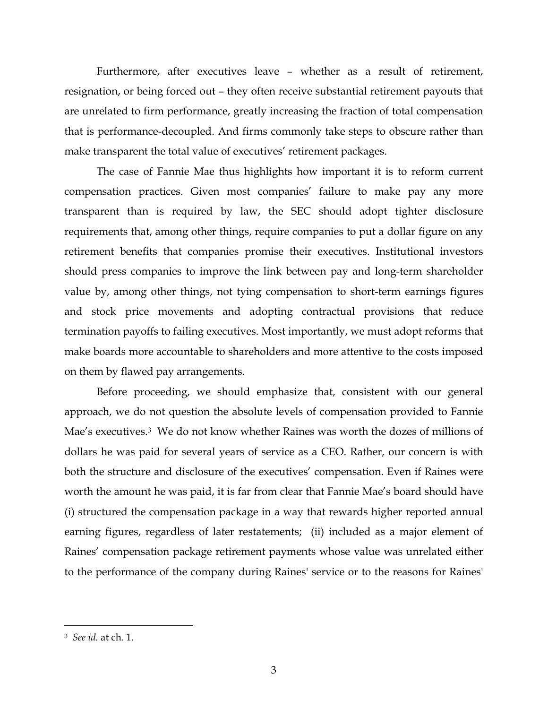Furthermore, after executives leave – whether as a result of retirement, resignation, or being forced out – they often receive substantial retirement payouts that are unrelated to firm performance, greatly increasing the fraction of total compensation that is performance-decoupled. And firms commonly take steps to obscure rather than make transparent the total value of executives' retirement packages.

The case of Fannie Mae thus highlights how important it is to reform current compensation practices. Given most companies' failure to make pay any more transparent than is required by law, the SEC should adopt tighter disclosure requirements that, among other things, require companies to put a dollar figure on any retirement benefits that companies promise their executives. Institutional investors should press companies to improve the link between pay and long-term shareholder value by, among other things, not tying compensation to short-term earnings figures and stock price movements and adopting contractual provisions that reduce termination payoffs to failing executives. Most importantly, we must adopt reforms that make boards more accountable to shareholders and more attentive to the costs imposed on them by flawed pay arrangements.

Before proceeding, we should emphasize that, consistent with our general approach, we do not question the absolute levels of compensation provided to Fannie Mae's executives.<sup>3</sup> We do not know whether Raines was worth the dozes of millions of dollars he was paid for several years of service as a CEO. Rather, our concern is with both the structure and disclosure of the executives' compensation. Even if Raines were worth the amount he was paid, it is far from clear that Fannie Mae's board should have (i) structured the compensation package in a way that rewards higher reported annual earning figures, regardless of later restatements; (ii) included as a major element of Raines' compensation package retirement payments whose value was unrelated either to the performance of the company during Raines' service or to the reasons for Raines'

-

<sup>3</sup> *See id.* at ch. 1.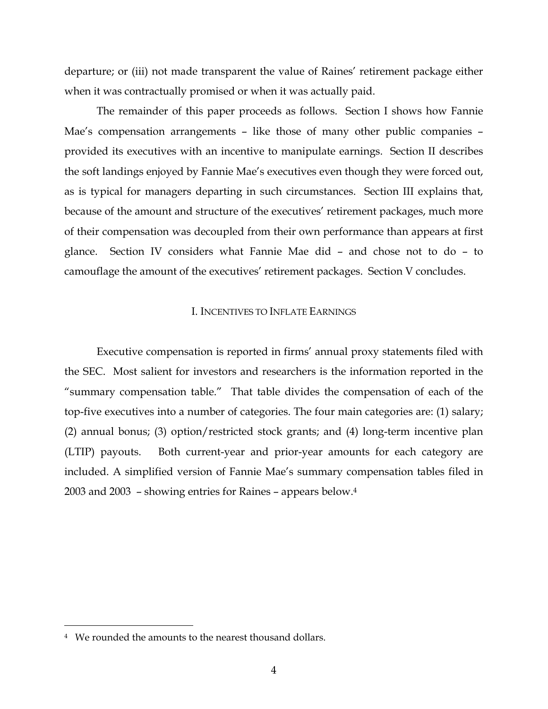departure; or (iii) not made transparent the value of Raines' retirement package either when it was contractually promised or when it was actually paid.

The remainder of this paper proceeds as follows. Section I shows how Fannie Mae's compensation arrangements – like those of many other public companies – provided its executives with an incentive to manipulate earnings. Section II describes the soft landings enjoyed by Fannie Mae's executives even though they were forced out, as is typical for managers departing in such circumstances. Section III explains that, because of the amount and structure of the executives' retirement packages, much more of their compensation was decoupled from their own performance than appears at first glance. Section IV considers what Fannie Mae did – and chose not to do – to camouflage the amount of the executives' retirement packages. Section V concludes.

#### I. INCENTIVES TO INFLATE EARNINGS

Executive compensation is reported in firms' annual proxy statements filed with the SEC. Most salient for investors and researchers is the information reported in the "summary compensation table." That table divides the compensation of each of the top-five executives into a number of categories. The four main categories are: (1) salary; (2) annual bonus; (3) option/restricted stock grants; and (4) long-term incentive plan (LTIP) payouts. Both current-year and prior-year amounts for each category are included. A simplified version of Fannie Mae's summary compensation tables filed in 2003 and 2003 – showing entries for Raines – appears below.4

<sup>4</sup> We rounded the amounts to the nearest thousand dollars.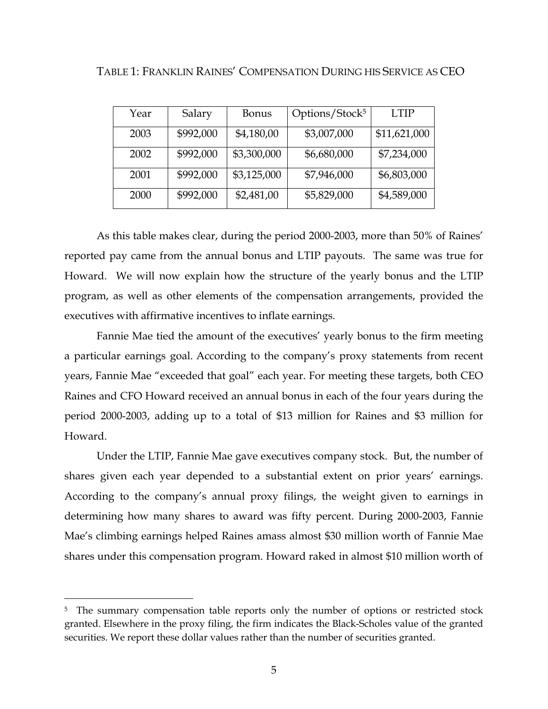| Year | Salary    | <b>Bonus</b> | Options/Stock <sup>5</sup> | <b>LTIP</b>  |
|------|-----------|--------------|----------------------------|--------------|
| 2003 | \$992,000 | \$4,180,00   | \$3,007,000                | \$11,621,000 |
| 2002 | \$992,000 | \$3,300,000  | \$6,680,000                | \$7,234,000  |
| 2001 | \$992,000 | \$3,125,000  | \$7,946,000                | \$6,803,000  |
| 2000 | \$992,000 | \$2,481,00   | \$5,829,000                | \$4,589,000  |

TABLE 1: FRANKLIN RAINES' COMPENSATION DURING HIS SERVICE AS CEO

As this table makes clear, during the period 2000-2003, more than 50% of Raines' reported pay came from the annual bonus and LTIP payouts. The same was true for Howard. We will now explain how the structure of the yearly bonus and the LTIP program, as well as other elements of the compensation arrangements, provided the executives with affirmative incentives to inflate earnings.

Fannie Mae tied the amount of the executives' yearly bonus to the firm meeting a particular earnings goal. According to the company's proxy statements from recent years, Fannie Mae "exceeded that goal" each year. For meeting these targets, both CEO Raines and CFO Howard received an annual bonus in each of the four years during the period 2000-2003, adding up to a total of \$13 million for Raines and \$3 million for Howard.

Under the LTIP, Fannie Mae gave executives company stock. But, the number of shares given each year depended to a substantial extent on prior years' earnings. According to the company's annual proxy filings, the weight given to earnings in determining how many shares to award was fifty percent. During 2000-2003, Fannie Mae's climbing earnings helped Raines amass almost \$30 million worth of Fannie Mae shares under this compensation program. Howard raked in almost \$10 million worth of

<sup>&</sup>lt;sup>5</sup> The summary compensation table reports only the number of options or restricted stock granted. Elsewhere in the proxy filing, the firm indicates the Black-Scholes value of the granted securities. We report these dollar values rather than the number of securities granted.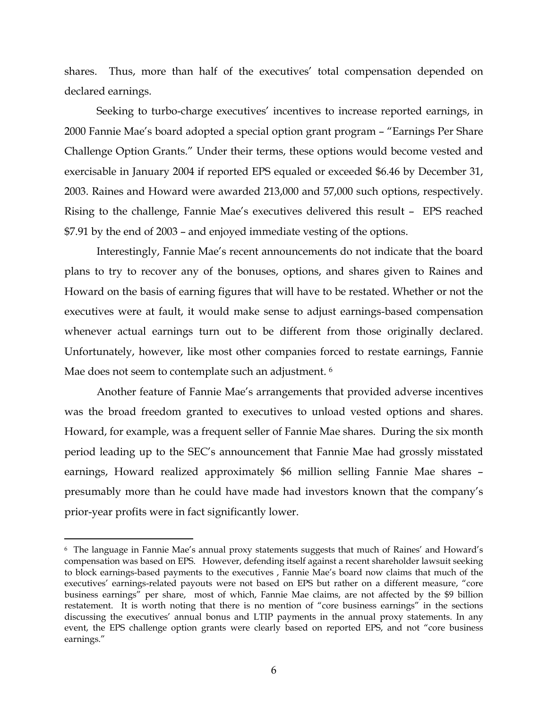shares. Thus, more than half of the executives' total compensation depended on declared earnings.

Seeking to turbo-charge executives' incentives to increase reported earnings, in 2000 Fannie Mae's board adopted a special option grant program – "Earnings Per Share Challenge Option Grants." Under their terms, these options would become vested and exercisable in January 2004 if reported EPS equaled or exceeded \$6.46 by December 31, 2003. Raines and Howard were awarded 213,000 and 57,000 such options, respectively. Rising to the challenge, Fannie Mae's executives delivered this result – EPS reached \$7.91 by the end of 2003 – and enjoyed immediate vesting of the options.

Interestingly, Fannie Mae's recent announcements do not indicate that the board plans to try to recover any of the bonuses, options, and shares given to Raines and Howard on the basis of earning figures that will have to be restated. Whether or not the executives were at fault, it would make sense to adjust earnings-based compensation whenever actual earnings turn out to be different from those originally declared. Unfortunately, however, like most other companies forced to restate earnings, Fannie Mae does not seem to contemplate such an adjustment. <sup>6</sup>

 Another feature of Fannie Mae's arrangements that provided adverse incentives was the broad freedom granted to executives to unload vested options and shares. Howard, for example, was a frequent seller of Fannie Mae shares. During the six month period leading up to the SEC's announcement that Fannie Mae had grossly misstated earnings, Howard realized approximately \$6 million selling Fannie Mae shares – presumably more than he could have made had investors known that the company's prior-year profits were in fact significantly lower.

<sup>6</sup> The language in Fannie Mae's annual proxy statements suggests that much of Raines' and Howard's compensation was based on EPS. However, defending itself against a recent shareholder lawsuit seeking to block earnings-based payments to the executives , Fannie Mae's board now claims that much of the executives' earnings-related payouts were not based on EPS but rather on a different measure, "core business earnings" per share, most of which, Fannie Mae claims, are not affected by the \$9 billion restatement. It is worth noting that there is no mention of "core business earnings" in the sections discussing the executives' annual bonus and LTIP payments in the annual proxy statements. In any event, the EPS challenge option grants were clearly based on reported EPS, and not "core business earnings."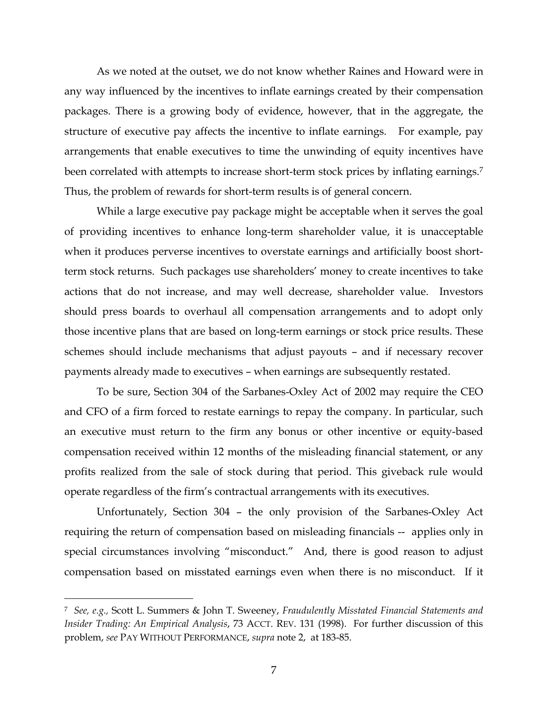As we noted at the outset, we do not know whether Raines and Howard were in any way influenced by the incentives to inflate earnings created by their compensation packages. There is a growing body of evidence, however, that in the aggregate, the structure of executive pay affects the incentive to inflate earnings. For example, pay arrangements that enable executives to time the unwinding of equity incentives have been correlated with attempts to increase short-term stock prices by inflating earnings.<sup>7</sup> Thus, the problem of rewards for short-term results is of general concern.

 While a large executive pay package might be acceptable when it serves the goal of providing incentives to enhance long-term shareholder value, it is unacceptable when it produces perverse incentives to overstate earnings and artificially boost shortterm stock returns. Such packages use shareholders' money to create incentives to take actions that do not increase, and may well decrease, shareholder value. Investors should press boards to overhaul all compensation arrangements and to adopt only those incentive plans that are based on long-term earnings or stock price results. These schemes should include mechanisms that adjust payouts – and if necessary recover payments already made to executives – when earnings are subsequently restated.

To be sure, Section 304 of the Sarbanes-Oxley Act of 2002 may require the CEO and CFO of a firm forced to restate earnings to repay the company. In particular, such an executive must return to the firm any bonus or other incentive or equity-based compensation received within 12 months of the misleading financial statement, or any profits realized from the sale of stock during that period. This giveback rule would operate regardless of the firm's contractual arrangements with its executives.

Unfortunately, Section 304 – the only provision of the Sarbanes-Oxley Act requiring the return of compensation based on misleading financials -- applies only in special circumstances involving "misconduct." And, there is good reason to adjust compensation based on misstated earnings even when there is no misconduct. If it

-

<sup>7</sup> *See, e.g.,* Scott L. Summers & John T. Sweeney, *Fraudulently Misstated Financial Statements and Insider Trading: An Empirical Analysis*, 73 ACCT. REV. 131 (1998). For further discussion of this problem, *see* PAY WITHOUT PERFORMANCE, *supra* note 2, at 183-85.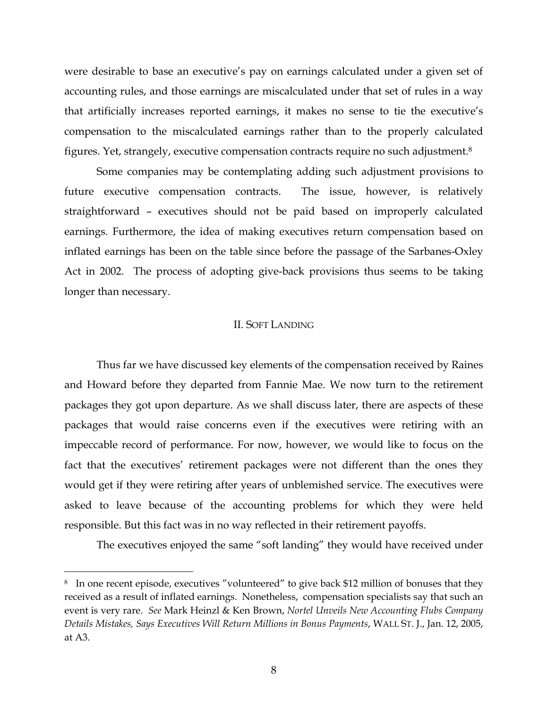were desirable to base an executive's pay on earnings calculated under a given set of accounting rules, and those earnings are miscalculated under that set of rules in a way that artificially increases reported earnings, it makes no sense to tie the executive's compensation to the miscalculated earnings rather than to the properly calculated figures. Yet, strangely, executive compensation contracts require no such adjustment.8

Some companies may be contemplating adding such adjustment provisions to future executive compensation contracts. The issue, however, is relatively straightforward – executives should not be paid based on improperly calculated earnings. Furthermore, the idea of making executives return compensation based on inflated earnings has been on the table since before the passage of the Sarbanes-Oxley Act in 2002. The process of adopting give-back provisions thus seems to be taking longer than necessary.

#### II. SOFT LANDING

 Thus far we have discussed key elements of the compensation received by Raines and Howard before they departed from Fannie Mae. We now turn to the retirement packages they got upon departure. As we shall discuss later, there are aspects of these packages that would raise concerns even if the executives were retiring with an impeccable record of performance. For now, however, we would like to focus on the fact that the executives' retirement packages were not different than the ones they would get if they were retiring after years of unblemished service. The executives were asked to leave because of the accounting problems for which they were held responsible. But this fact was in no way reflected in their retirement payoffs.

The executives enjoyed the same "soft landing" they would have received under

<sup>&</sup>lt;sup>8</sup> In one recent episode, executives "volunteered" to give back \$12 million of bonuses that they received as a result of inflated earnings. Nonetheless, compensation specialists say that such an event is very rare. *See* Mark Heinzl & Ken Brown, *Nortel Unveils New Accounting Flubs Company Details Mistakes, Says Executives Will Return Millions in Bonus Payments*, WALL ST. J., Jan. 12, 2005, at A3.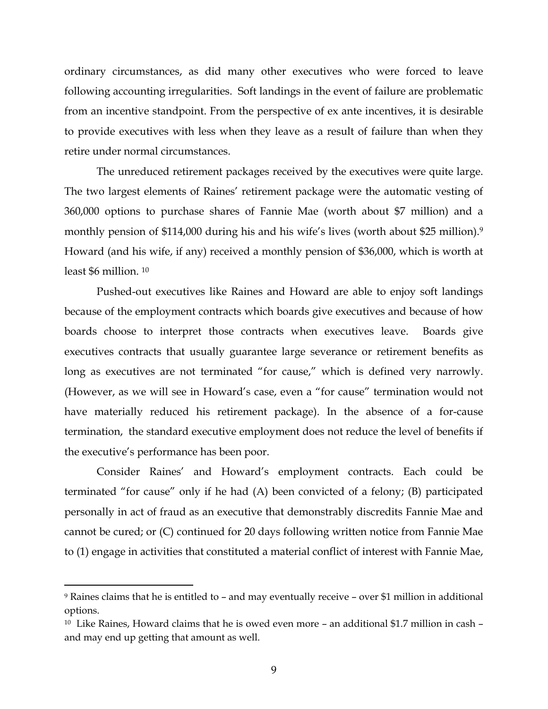ordinary circumstances, as did many other executives who were forced to leave following accounting irregularities. Soft landings in the event of failure are problematic from an incentive standpoint. From the perspective of ex ante incentives, it is desirable to provide executives with less when they leave as a result of failure than when they retire under normal circumstances.

 The unreduced retirement packages received by the executives were quite large. The two largest elements of Raines' retirement package were the automatic vesting of 360,000 options to purchase shares of Fannie Mae (worth about \$7 million) and a monthly pension of \$114,000 during his and his wife's lives (worth about \$25 million).<sup>9</sup> Howard (and his wife, if any) received a monthly pension of \$36,000, which is worth at least \$6 million. 10

 Pushed-out executives like Raines and Howard are able to enjoy soft landings because of the employment contracts which boards give executives and because of how boards choose to interpret those contracts when executives leave. Boards give executives contracts that usually guarantee large severance or retirement benefits as long as executives are not terminated "for cause," which is defined very narrowly. (However, as we will see in Howard's case, even a "for cause" termination would not have materially reduced his retirement package). In the absence of a for-cause termination, the standard executive employment does not reduce the level of benefits if the executive's performance has been poor.

Consider Raines' and Howard's employment contracts. Each could be terminated "for cause" only if he had (A) been convicted of a felony; (B) participated personally in act of fraud as an executive that demonstrably discredits Fannie Mae and cannot be cured; or (C) continued for 20 days following written notice from Fannie Mae to (1) engage in activities that constituted a material conflict of interest with Fannie Mae,

-

<sup>9</sup> Raines claims that he is entitled to – and may eventually receive – over \$1 million in additional options.

 $10$  Like Raines, Howard claims that he is owed even more – an additional \$1.7 million in cash – and may end up getting that amount as well.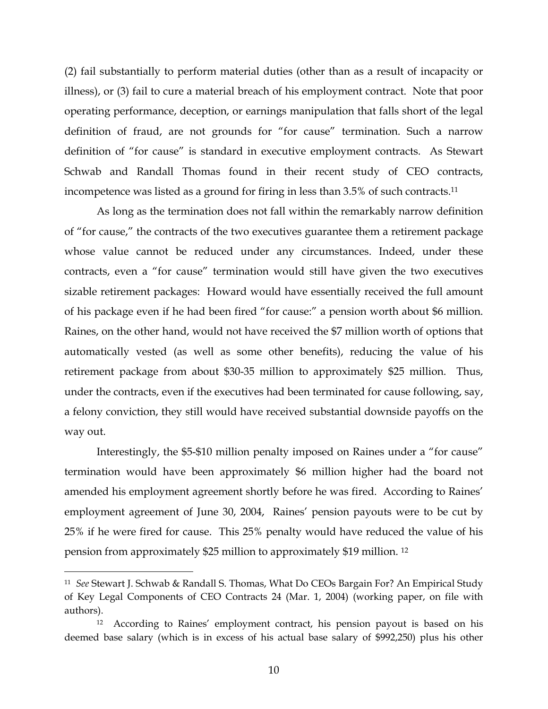(2) fail substantially to perform material duties (other than as a result of incapacity or illness), or (3) fail to cure a material breach of his employment contract. Note that poor operating performance, deception, or earnings manipulation that falls short of the legal definition of fraud, are not grounds for "for cause" termination. Such a narrow definition of "for cause" is standard in executive employment contracts. As Stewart Schwab and Randall Thomas found in their recent study of CEO contracts, incompetence was listed as a ground for firing in less than 3.5% of such contracts.11

As long as the termination does not fall within the remarkably narrow definition of "for cause," the contracts of the two executives guarantee them a retirement package whose value cannot be reduced under any circumstances. Indeed, under these contracts, even a "for cause" termination would still have given the two executives sizable retirement packages: Howard would have essentially received the full amount of his package even if he had been fired "for cause:" a pension worth about \$6 million. Raines, on the other hand, would not have received the \$7 million worth of options that automatically vested (as well as some other benefits), reducing the value of his retirement package from about \$30-35 million to approximately \$25 million. Thus, under the contracts, even if the executives had been terminated for cause following, say, a felony conviction, they still would have received substantial downside payoffs on the way out.

Interestingly, the \$5-\$10 million penalty imposed on Raines under a "for cause" termination would have been approximately \$6 million higher had the board not amended his employment agreement shortly before he was fired. According to Raines' employment agreement of June 30, 2004, Raines' pension payouts were to be cut by 25% if he were fired for cause. This 25% penalty would have reduced the value of his pension from approximately \$25 million to approximately \$19 million. 12

<u>.</u>

<sup>11</sup> *See* Stewart J. Schwab & Randall S. Thomas, What Do CEOs Bargain For? An Empirical Study of Key Legal Components of CEO Contracts 24 (Mar. 1, 2004) (working paper, on file with authors).

<sup>&</sup>lt;sup>12</sup> According to Raines' employment contract, his pension payout is based on his deemed base salary (which is in excess of his actual base salary of \$992,250) plus his other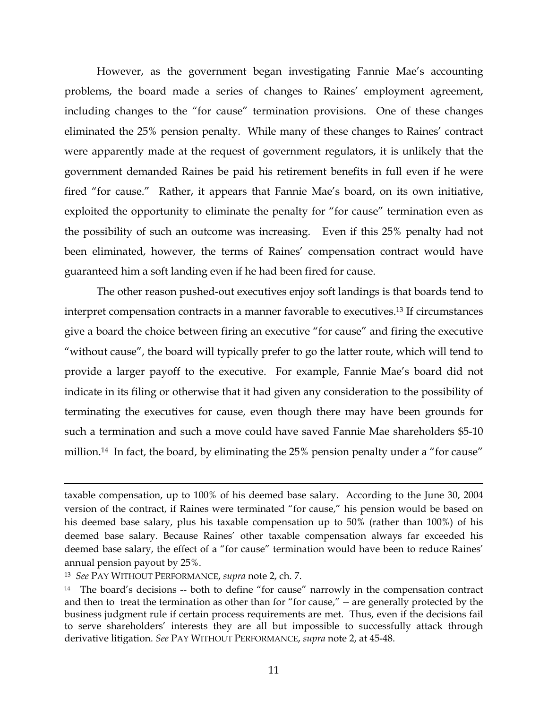However, as the government began investigating Fannie Mae's accounting problems, the board made a series of changes to Raines' employment agreement, including changes to the "for cause" termination provisions. One of these changes eliminated the 25% pension penalty. While many of these changes to Raines' contract were apparently made at the request of government regulators, it is unlikely that the government demanded Raines be paid his retirement benefits in full even if he were fired "for cause." Rather, it appears that Fannie Mae's board, on its own initiative, exploited the opportunity to eliminate the penalty for "for cause" termination even as the possibility of such an outcome was increasing. Even if this 25% penalty had not been eliminated, however, the terms of Raines' compensation contract would have guaranteed him a soft landing even if he had been fired for cause.

 The other reason pushed-out executives enjoy soft landings is that boards tend to interpret compensation contracts in a manner favorable to executives.13 If circumstances give a board the choice between firing an executive "for cause" and firing the executive "without cause", the board will typically prefer to go the latter route, which will tend to provide a larger payoff to the executive. For example, Fannie Mae's board did not indicate in its filing or otherwise that it had given any consideration to the possibility of terminating the executives for cause, even though there may have been grounds for such a termination and such a move could have saved Fannie Mae shareholders \$5-10 million.<sup>14</sup> In fact, the board, by eliminating the 25% pension penalty under a "for cause"

taxable compensation, up to 100% of his deemed base salary. According to the June 30, 2004 version of the contract, if Raines were terminated "for cause," his pension would be based on his deemed base salary, plus his taxable compensation up to 50% (rather than 100%) of his deemed base salary. Because Raines' other taxable compensation always far exceeded his deemed base salary, the effect of a "for cause" termination would have been to reduce Raines' annual pension payout by 25%.

<sup>13</sup> *See* PAY WITHOUT PERFORMANCE, *supra* note 2, ch. 7.

<sup>&</sup>lt;sup>14</sup> The board's decisions -- both to define "for cause" narrowly in the compensation contract and then to treat the termination as other than for "for cause," -- are generally protected by the business judgment rule if certain process requirements are met. Thus, even if the decisions fail to serve shareholders' interests they are all but impossible to successfully attack through derivative litigation. *See* PAY WITHOUT PERFORMANCE, *supra* note 2, at 45-48.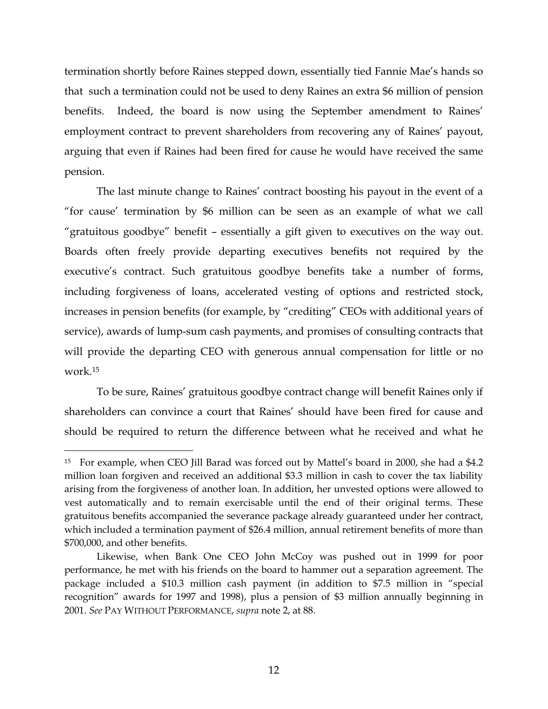termination shortly before Raines stepped down, essentially tied Fannie Mae's hands so that such a termination could not be used to deny Raines an extra \$6 million of pension benefits. Indeed, the board is now using the September amendment to Raines' employment contract to prevent shareholders from recovering any of Raines' payout, arguing that even if Raines had been fired for cause he would have received the same pension.

The last minute change to Raines' contract boosting his payout in the event of a "for cause' termination by \$6 million can be seen as an example of what we call "gratuitous goodbye" benefit – essentially a gift given to executives on the way out. Boards often freely provide departing executives benefits not required by the executive's contract. Such gratuitous goodbye benefits take a number of forms, including forgiveness of loans, accelerated vesting of options and restricted stock, increases in pension benefits (for example, by "crediting" CEOs with additional years of service), awards of lump-sum cash payments, and promises of consulting contracts that will provide the departing CEO with generous annual compensation for little or no work.15

To be sure, Raines' gratuitous goodbye contract change will benefit Raines only if shareholders can convince a court that Raines' should have been fired for cause and should be required to return the difference between what he received and what he

<sup>15</sup> For example, when CEO Jill Barad was forced out by Mattel's board in 2000, she had a \$4.2 million loan forgiven and received an additional \$3.3 million in cash to cover the tax liability arising from the forgiveness of another loan. In addition, her unvested options were allowed to vest automatically and to remain exercisable until the end of their original terms. These gratuitous benefits accompanied the severance package already guaranteed under her contract, which included a termination payment of \$26.4 million, annual retirement benefits of more than \$700,000, and other benefits.

Likewise, when Bank One CEO John McCoy was pushed out in 1999 for poor performance, he met with his friends on the board to hammer out a separation agreement. The package included a \$10.3 million cash payment (in addition to \$7.5 million in "special recognition" awards for 1997 and 1998), plus a pension of \$3 million annually beginning in 2001. *See* PAY WITHOUT PERFORMANCE, *supra* note 2, at 88.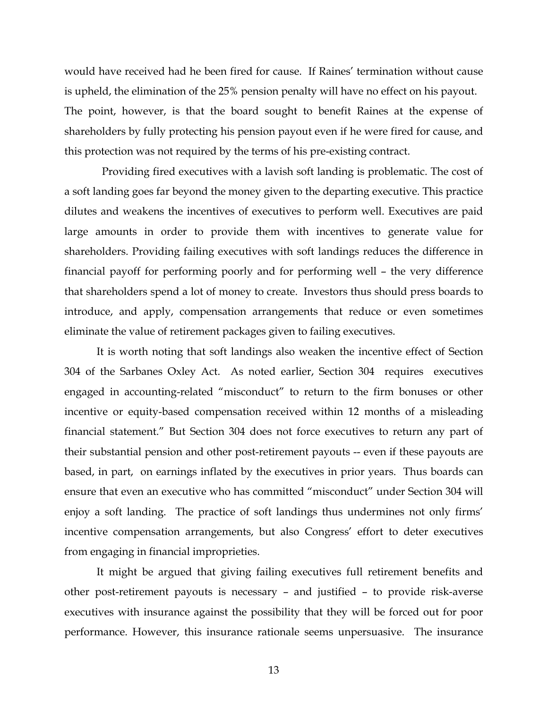would have received had he been fired for cause. If Raines' termination without cause is upheld, the elimination of the 25% pension penalty will have no effect on his payout. The point, however, is that the board sought to benefit Raines at the expense of shareholders by fully protecting his pension payout even if he were fired for cause, and this protection was not required by the terms of his pre-existing contract.

 Providing fired executives with a lavish soft landing is problematic. The cost of a soft landing goes far beyond the money given to the departing executive. This practice dilutes and weakens the incentives of executives to perform well. Executives are paid large amounts in order to provide them with incentives to generate value for shareholders. Providing failing executives with soft landings reduces the difference in financial payoff for performing poorly and for performing well – the very difference that shareholders spend a lot of money to create. Investors thus should press boards to introduce, and apply, compensation arrangements that reduce or even sometimes eliminate the value of retirement packages given to failing executives.

 It is worth noting that soft landings also weaken the incentive effect of Section 304 of the Sarbanes Oxley Act. As noted earlier, Section 304 requires executives engaged in accounting-related "misconduct" to return to the firm bonuses or other incentive or equity-based compensation received within 12 months of a misleading financial statement." But Section 304 does not force executives to return any part of their substantial pension and other post-retirement payouts -- even if these payouts are based, in part, on earnings inflated by the executives in prior years. Thus boards can ensure that even an executive who has committed "misconduct" under Section 304 will enjoy a soft landing. The practice of soft landings thus undermines not only firms' incentive compensation arrangements, but also Congress' effort to deter executives from engaging in financial improprieties.

It might be argued that giving failing executives full retirement benefits and other post-retirement payouts is necessary – and justified – to provide risk-averse executives with insurance against the possibility that they will be forced out for poor performance. However, this insurance rationale seems unpersuasive. The insurance

13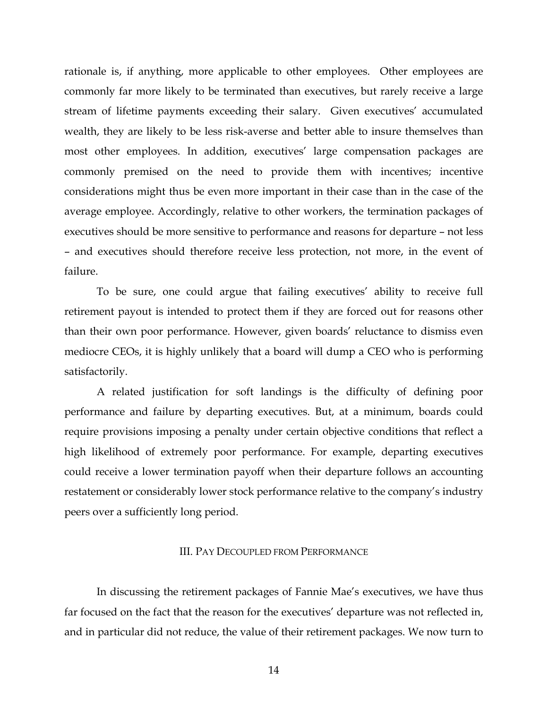rationale is, if anything, more applicable to other employees. Other employees are commonly far more likely to be terminated than executives, but rarely receive a large stream of lifetime payments exceeding their salary. Given executives' accumulated wealth, they are likely to be less risk-averse and better able to insure themselves than most other employees. In addition, executives' large compensation packages are commonly premised on the need to provide them with incentives; incentive considerations might thus be even more important in their case than in the case of the average employee. Accordingly, relative to other workers, the termination packages of executives should be more sensitive to performance and reasons for departure – not less – and executives should therefore receive less protection, not more, in the event of failure.

To be sure, one could argue that failing executives' ability to receive full retirement payout is intended to protect them if they are forced out for reasons other than their own poor performance. However, given boards' reluctance to dismiss even mediocre CEOs, it is highly unlikely that a board will dump a CEO who is performing satisfactorily.

 A related justification for soft landings is the difficulty of defining poor performance and failure by departing executives. But, at a minimum, boards could require provisions imposing a penalty under certain objective conditions that reflect a high likelihood of extremely poor performance. For example, departing executives could receive a lower termination payoff when their departure follows an accounting restatement or considerably lower stock performance relative to the company's industry peers over a sufficiently long period.

#### III. PAY DECOUPLED FROM PERFORMANCE

In discussing the retirement packages of Fannie Mae's executives, we have thus far focused on the fact that the reason for the executives' departure was not reflected in, and in particular did not reduce, the value of their retirement packages. We now turn to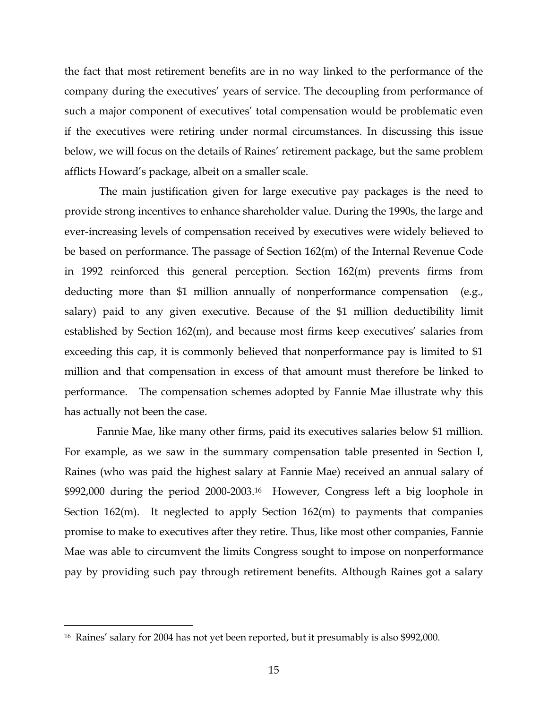the fact that most retirement benefits are in no way linked to the performance of the company during the executives' years of service. The decoupling from performance of such a major component of executives' total compensation would be problematic even if the executives were retiring under normal circumstances. In discussing this issue below, we will focus on the details of Raines' retirement package, but the same problem afflicts Howard's package, albeit on a smaller scale.

 The main justification given for large executive pay packages is the need to provide strong incentives to enhance shareholder value. During the 1990s, the large and ever-increasing levels of compensation received by executives were widely believed to be based on performance. The passage of Section 162(m) of the Internal Revenue Code in 1992 reinforced this general perception. Section 162(m) prevents firms from deducting more than \$1 million annually of nonperformance compensation (e.g., salary) paid to any given executive. Because of the \$1 million deductibility limit established by Section 162(m), and because most firms keep executives' salaries from exceeding this cap, it is commonly believed that nonperformance pay is limited to \$1 million and that compensation in excess of that amount must therefore be linked to performance. The compensation schemes adopted by Fannie Mae illustrate why this has actually not been the case.

Fannie Mae, like many other firms, paid its executives salaries below \$1 million. For example, as we saw in the summary compensation table presented in Section I, Raines (who was paid the highest salary at Fannie Mae) received an annual salary of \$992,000 during the period 2000-2003.16 However, Congress left a big loophole in Section 162(m). It neglected to apply Section 162(m) to payments that companies promise to make to executives after they retire. Thus, like most other companies, Fannie Mae was able to circumvent the limits Congress sought to impose on nonperformance pay by providing such pay through retirement benefits. Although Raines got a salary

<sup>16</sup> Raines' salary for 2004 has not yet been reported, but it presumably is also \$992,000.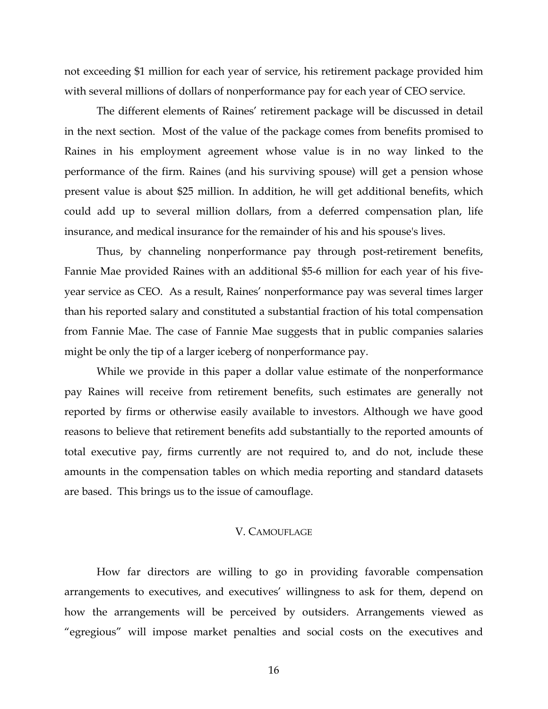not exceeding \$1 million for each year of service, his retirement package provided him with several millions of dollars of nonperformance pay for each year of CEO service.

The different elements of Raines' retirement package will be discussed in detail in the next section. Most of the value of the package comes from benefits promised to Raines in his employment agreement whose value is in no way linked to the performance of the firm. Raines (and his surviving spouse) will get a pension whose present value is about \$25 million. In addition, he will get additional benefits, which could add up to several million dollars, from a deferred compensation plan, life insurance, and medical insurance for the remainder of his and his spouse's lives.

Thus, by channeling nonperformance pay through post-retirement benefits, Fannie Mae provided Raines with an additional \$5-6 million for each year of his fiveyear service as CEO. As a result, Raines' nonperformance pay was several times larger than his reported salary and constituted a substantial fraction of his total compensation from Fannie Mae. The case of Fannie Mae suggests that in public companies salaries might be only the tip of a larger iceberg of nonperformance pay.

 While we provide in this paper a dollar value estimate of the nonperformance pay Raines will receive from retirement benefits, such estimates are generally not reported by firms or otherwise easily available to investors. Although we have good reasons to believe that retirement benefits add substantially to the reported amounts of total executive pay, firms currently are not required to, and do not, include these amounts in the compensation tables on which media reporting and standard datasets are based. This brings us to the issue of camouflage.

#### V. CAMOUFLAGE

 How far directors are willing to go in providing favorable compensation arrangements to executives, and executives' willingness to ask for them, depend on how the arrangements will be perceived by outsiders. Arrangements viewed as "egregious" will impose market penalties and social costs on the executives and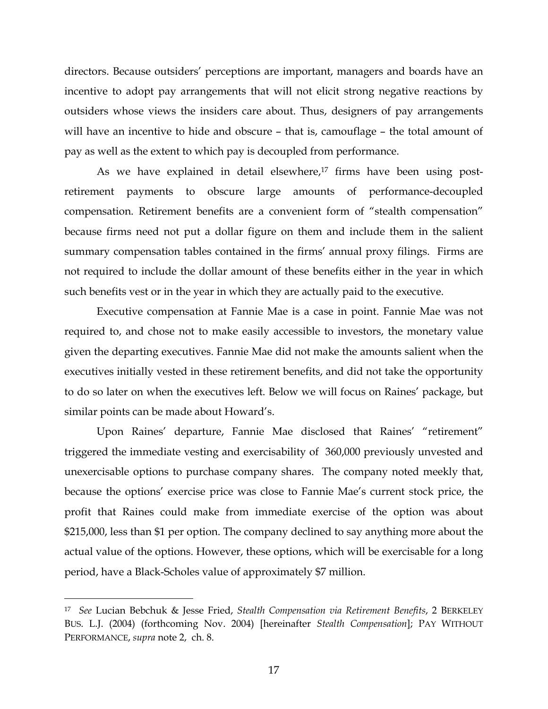directors. Because outsiders' perceptions are important, managers and boards have an incentive to adopt pay arrangements that will not elicit strong negative reactions by outsiders whose views the insiders care about. Thus, designers of pay arrangements will have an incentive to hide and obscure - that is, camouflage - the total amount of pay as well as the extent to which pay is decoupled from performance.

As we have explained in detail elsewhere,<sup>17</sup> firms have been using postretirement payments to obscure large amounts of performance-decoupled compensation. Retirement benefits are a convenient form of "stealth compensation" because firms need not put a dollar figure on them and include them in the salient summary compensation tables contained in the firms' annual proxy filings. Firms are not required to include the dollar amount of these benefits either in the year in which such benefits vest or in the year in which they are actually paid to the executive.

 Executive compensation at Fannie Mae is a case in point. Fannie Mae was not required to, and chose not to make easily accessible to investors, the monetary value given the departing executives. Fannie Mae did not make the amounts salient when the executives initially vested in these retirement benefits, and did not take the opportunity to do so later on when the executives left. Below we will focus on Raines' package, but similar points can be made about Howard's.

 Upon Raines' departure, Fannie Mae disclosed that Raines' "retirement" triggered the immediate vesting and exercisability of 360,000 previously unvested and unexercisable options to purchase company shares. The company noted meekly that, because the options' exercise price was close to Fannie Mae's current stock price, the profit that Raines could make from immediate exercise of the option was about \$215,000, less than \$1 per option. The company declined to say anything more about the actual value of the options. However, these options, which will be exercisable for a long period, have a Black-Scholes value of approximately \$7 million.

<sup>17</sup> *See* Lucian Bebchuk & Jesse Fried, *Stealth Compensation via Retirement Benefits*, 2 BERKELEY BUS. L.J. (2004) (forthcoming Nov. 2004) [hereinafter *Stealth Compensation*]; PAY WITHOUT PERFORMANCE, *supra* note 2, ch. 8.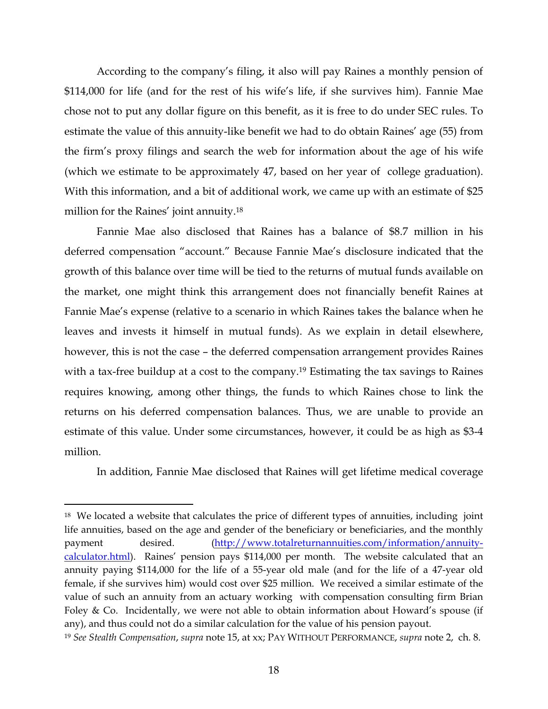According to the company's filing, it also will pay Raines a monthly pension of \$114,000 for life (and for the rest of his wife's life, if she survives him). Fannie Mae chose not to put any dollar figure on this benefit, as it is free to do under SEC rules. To estimate the value of this annuity-like benefit we had to do obtain Raines' age (55) from the firm's proxy filings and search the web for information about the age of his wife (which we estimate to be approximately 47, based on her year of college graduation). With this information, and a bit of additional work, we came up with an estimate of \$25 million for the Raines' joint annuity.18

 Fannie Mae also disclosed that Raines has a balance of \$8.7 million in his deferred compensation "account." Because Fannie Mae's disclosure indicated that the growth of this balance over time will be tied to the returns of mutual funds available on the market, one might think this arrangement does not financially benefit Raines at Fannie Mae's expense (relative to a scenario in which Raines takes the balance when he leaves and invests it himself in mutual funds). As we explain in detail elsewhere, however, this is not the case – the deferred compensation arrangement provides Raines with a tax-free buildup at a cost to the company.<sup>19</sup> Estimating the tax savings to Raines requires knowing, among other things, the funds to which Raines chose to link the returns on his deferred compensation balances. Thus, we are unable to provide an estimate of this value. Under some circumstances, however, it could be as high as \$3-4 million.

In addition, Fannie Mae disclosed that Raines will get lifetime medical coverage

<sup>&</sup>lt;sup>18</sup> We located a website that calculates the price of different types of annuities, including joint life annuities, based on the age and gender of the beneficiary or beneficiaries, and the monthly payment desired. (http://www.totalreturnannuities.com/information/annuitycalculator.html). Raines' pension pays \$114,000 per month. The website calculated that an annuity paying \$114,000 for the life of a 55-year old male (and for the life of a 47-year old female, if she survives him) would cost over \$25 million. We received a similar estimate of the value of such an annuity from an actuary working with compensation consulting firm Brian Foley & Co. Incidentally, we were not able to obtain information about Howard's spouse (if any), and thus could not do a similar calculation for the value of his pension payout.

<sup>19</sup> *See Stealth Compensation*, *supra* note 15, at xx; PAY WITHOUT PERFORMANCE, *supra* note 2, ch. 8.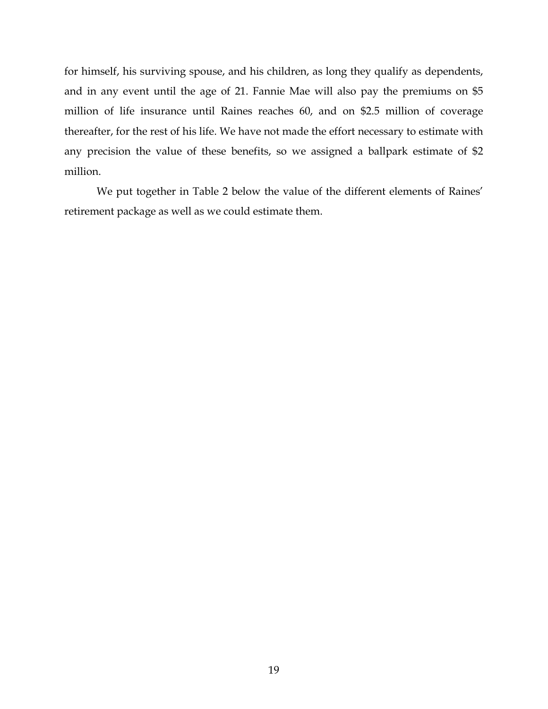for himself, his surviving spouse, and his children, as long they qualify as dependents, and in any event until the age of 21. Fannie Mae will also pay the premiums on \$5 million of life insurance until Raines reaches 60, and on \$2.5 million of coverage thereafter, for the rest of his life. We have not made the effort necessary to estimate with any precision the value of these benefits, so we assigned a ballpark estimate of \$2 million.

 We put together in Table 2 below the value of the different elements of Raines' retirement package as well as we could estimate them.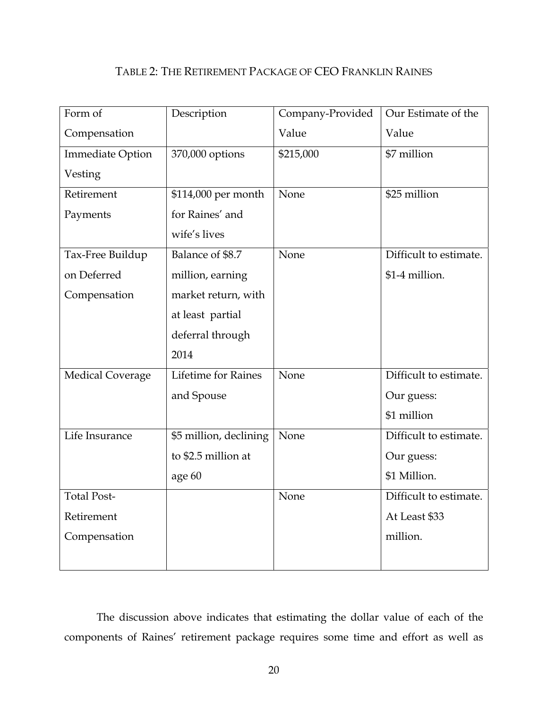## TABLE 2: THE RETIREMENT PACKAGE OF CEO FRANKLIN RAINES

| Form of                 | Description                | Company-Provided | Our Estimate of the    |
|-------------------------|----------------------------|------------------|------------------------|
| Compensation            |                            | Value            | Value                  |
| <b>Immediate Option</b> | 370,000 options            | \$215,000        | \$7 million            |
| Vesting                 |                            |                  |                        |
| Retirement              | \$114,000 per month        | None             | \$25 million           |
| Payments                | for Raines' and            |                  |                        |
|                         | wife's lives               |                  |                        |
| Tax-Free Buildup        | Balance of \$8.7           | None             | Difficult to estimate. |
| on Deferred             | million, earning           |                  | \$1-4 million.         |
| Compensation            | market return, with        |                  |                        |
|                         | at least partial           |                  |                        |
|                         | deferral through           |                  |                        |
|                         | 2014                       |                  |                        |
| <b>Medical Coverage</b> | <b>Lifetime for Raines</b> | None             | Difficult to estimate. |
|                         | and Spouse                 |                  | Our guess:             |
|                         |                            |                  | \$1 million            |
| Life Insurance          | \$5 million, declining     | None             | Difficult to estimate. |
|                         | to \$2.5 million at        |                  | Our guess:             |
|                         | age 60                     |                  | \$1 Million.           |
| <b>Total Post-</b>      |                            | None             | Difficult to estimate. |
| Retirement              |                            |                  | At Least \$33          |
| Compensation            |                            |                  | million.               |
|                         |                            |                  |                        |

 The discussion above indicates that estimating the dollar value of each of the components of Raines' retirement package requires some time and effort as well as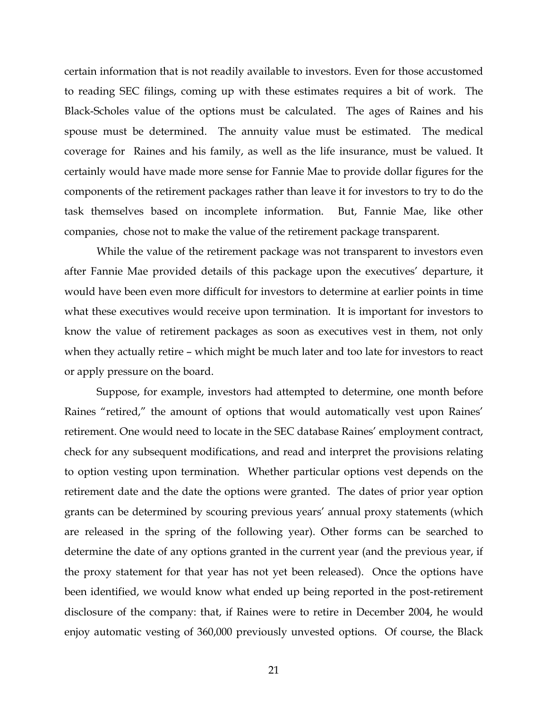certain information that is not readily available to investors. Even for those accustomed to reading SEC filings, coming up with these estimates requires a bit of work. The Black-Scholes value of the options must be calculated. The ages of Raines and his spouse must be determined. The annuity value must be estimated. The medical coverage for Raines and his family, as well as the life insurance, must be valued. It certainly would have made more sense for Fannie Mae to provide dollar figures for the components of the retirement packages rather than leave it for investors to try to do the task themselves based on incomplete information. But, Fannie Mae, like other companies, chose not to make the value of the retirement package transparent.

 While the value of the retirement package was not transparent to investors even after Fannie Mae provided details of this package upon the executives' departure, it would have been even more difficult for investors to determine at earlier points in time what these executives would receive upon termination. It is important for investors to know the value of retirement packages as soon as executives vest in them, not only when they actually retire – which might be much later and too late for investors to react or apply pressure on the board.

Suppose, for example, investors had attempted to determine, one month before Raines "retired," the amount of options that would automatically vest upon Raines' retirement. One would need to locate in the SEC database Raines' employment contract, check for any subsequent modifications, and read and interpret the provisions relating to option vesting upon termination. Whether particular options vest depends on the retirement date and the date the options were granted. The dates of prior year option grants can be determined by scouring previous years' annual proxy statements (which are released in the spring of the following year). Other forms can be searched to determine the date of any options granted in the current year (and the previous year, if the proxy statement for that year has not yet been released). Once the options have been identified, we would know what ended up being reported in the post-retirement disclosure of the company: that, if Raines were to retire in December 2004, he would enjoy automatic vesting of 360,000 previously unvested options. Of course, the Black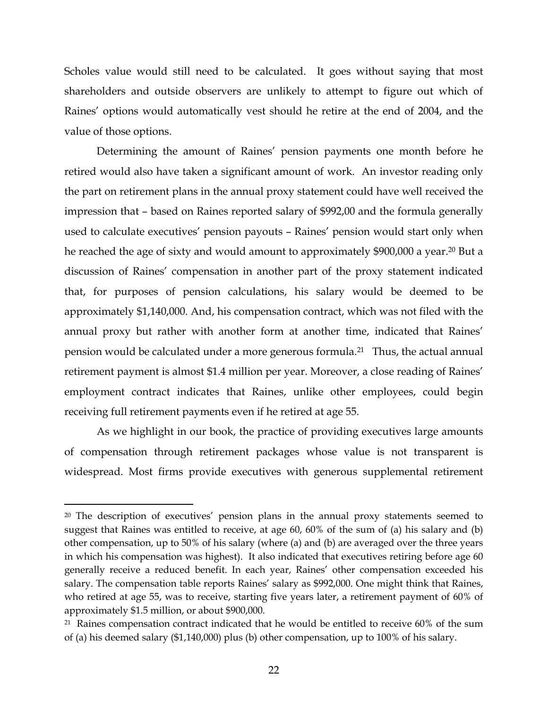Scholes value would still need to be calculated. It goes without saying that most shareholders and outside observers are unlikely to attempt to figure out which of Raines' options would automatically vest should he retire at the end of 2004, and the value of those options.

 Determining the amount of Raines' pension payments one month before he retired would also have taken a significant amount of work. An investor reading only the part on retirement plans in the annual proxy statement could have well received the impression that – based on Raines reported salary of \$992,00 and the formula generally used to calculate executives' pension payouts – Raines' pension would start only when he reached the age of sixty and would amount to approximately \$900,000 a year.20 But a discussion of Raines' compensation in another part of the proxy statement indicated that, for purposes of pension calculations, his salary would be deemed to be approximately \$1,140,000. And, his compensation contract, which was not filed with the annual proxy but rather with another form at another time, indicated that Raines' pension would be calculated under a more generous formula.21 Thus, the actual annual retirement payment is almost \$1.4 million per year. Moreover, a close reading of Raines' employment contract indicates that Raines, unlike other employees, could begin receiving full retirement payments even if he retired at age 55.

As we highlight in our book, the practice of providing executives large amounts of compensation through retirement packages whose value is not transparent is widespread. Most firms provide executives with generous supplemental retirement

<sup>&</sup>lt;sup>20</sup> The description of executives' pension plans in the annual proxy statements seemed to suggest that Raines was entitled to receive, at age 60, 60% of the sum of (a) his salary and (b) other compensation, up to 50% of his salary (where (a) and (b) are averaged over the three years in which his compensation was highest). It also indicated that executives retiring before age 60 generally receive a reduced benefit. In each year, Raines' other compensation exceeded his salary. The compensation table reports Raines' salary as \$992,000. One might think that Raines, who retired at age 55, was to receive, starting five years later, a retirement payment of 60% of approximately \$1.5 million, or about \$900,000.

 $21$  Raines compensation contract indicated that he would be entitled to receive 60% of the sum of (a) his deemed salary (\$1,140,000) plus (b) other compensation, up to 100% of his salary.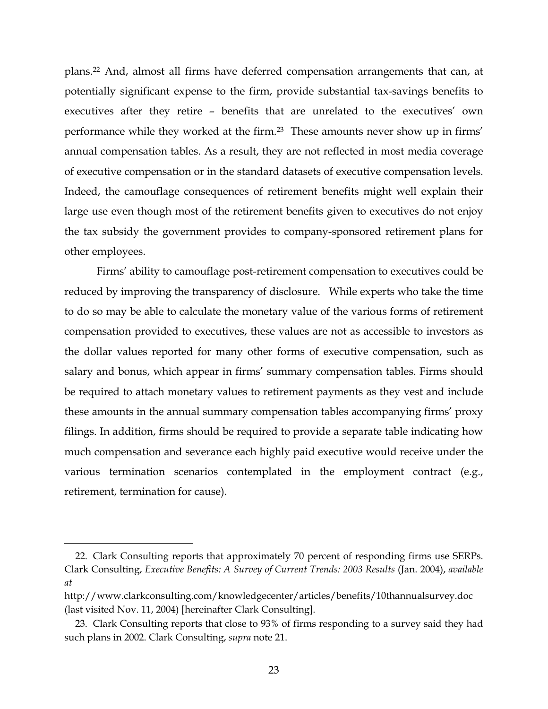plans.22 And, almost all firms have deferred compensation arrangements that can, at potentially significant expense to the firm, provide substantial tax-savings benefits to executives after they retire – benefits that are unrelated to the executives' own performance while they worked at the firm.23 These amounts never show up in firms' annual compensation tables. As a result, they are not reflected in most media coverage of executive compensation or in the standard datasets of executive compensation levels. Indeed, the camouflage consequences of retirement benefits might well explain their large use even though most of the retirement benefits given to executives do not enjoy the tax subsidy the government provides to company-sponsored retirement plans for other employees.

 Firms' ability to camouflage post-retirement compensation to executives could be reduced by improving the transparency of disclosure. While experts who take the time to do so may be able to calculate the monetary value of the various forms of retirement compensation provided to executives, these values are not as accessible to investors as the dollar values reported for many other forms of executive compensation, such as salary and bonus, which appear in firms' summary compensation tables. Firms should be required to attach monetary values to retirement payments as they vest and include these amounts in the annual summary compensation tables accompanying firms' proxy filings. In addition, firms should be required to provide a separate table indicating how much compensation and severance each highly paid executive would receive under the various termination scenarios contemplated in the employment contract (e.g., retirement, termination for cause).

<u>.</u>

<sup>22.</sup> Clark Consulting reports that approximately 70 percent of responding firms use SERPs. Clark Consulting, *Executive Benefits: A Survey of Current Trends: 2003 Results* (Jan. 2004), *available at* 

http://www.clarkconsulting.com/knowledgecenter/articles/benefits/10thannualsurvey.doc (last visited Nov. 11, 2004) [hereinafter Clark Consulting].

<sup>23.</sup> Clark Consulting reports that close to 93% of firms responding to a survey said they had such plans in 2002. Clark Consulting, *supra* note 21.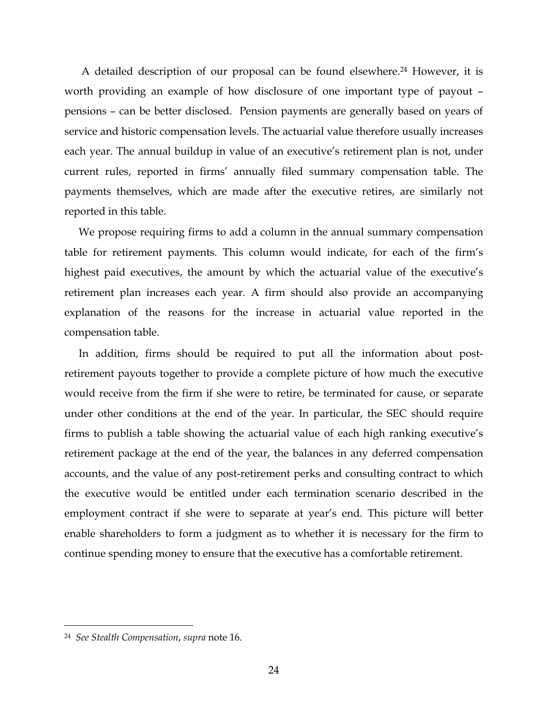A detailed description of our proposal can be found elsewhere.24 However, it is worth providing an example of how disclosure of one important type of payout – pensions – can be better disclosed. Pension payments are generally based on years of service and historic compensation levels. The actuarial value therefore usually increases each year. The annual buildup in value of an executive's retirement plan is not, under current rules, reported in firms' annually filed summary compensation table. The payments themselves, which are made after the executive retires, are similarly not reported in this table.

We propose requiring firms to add a column in the annual summary compensation table for retirement payments. This column would indicate, for each of the firm's highest paid executives, the amount by which the actuarial value of the executive's retirement plan increases each year. A firm should also provide an accompanying explanation of the reasons for the increase in actuarial value reported in the compensation table.

In addition, firms should be required to put all the information about postretirement payouts together to provide a complete picture of how much the executive would receive from the firm if she were to retire, be terminated for cause, or separate under other conditions at the end of the year. In particular, the SEC should require firms to publish a table showing the actuarial value of each high ranking executive's retirement package at the end of the year, the balances in any deferred compensation accounts, and the value of any post-retirement perks and consulting contract to which the executive would be entitled under each termination scenario described in the employment contract if she were to separate at year's end. This picture will better enable shareholders to form a judgment as to whether it is necessary for the firm to continue spending money to ensure that the executive has a comfortable retirement.

-

<sup>24</sup> *See Stealth Compensation*, *supra* note 16.